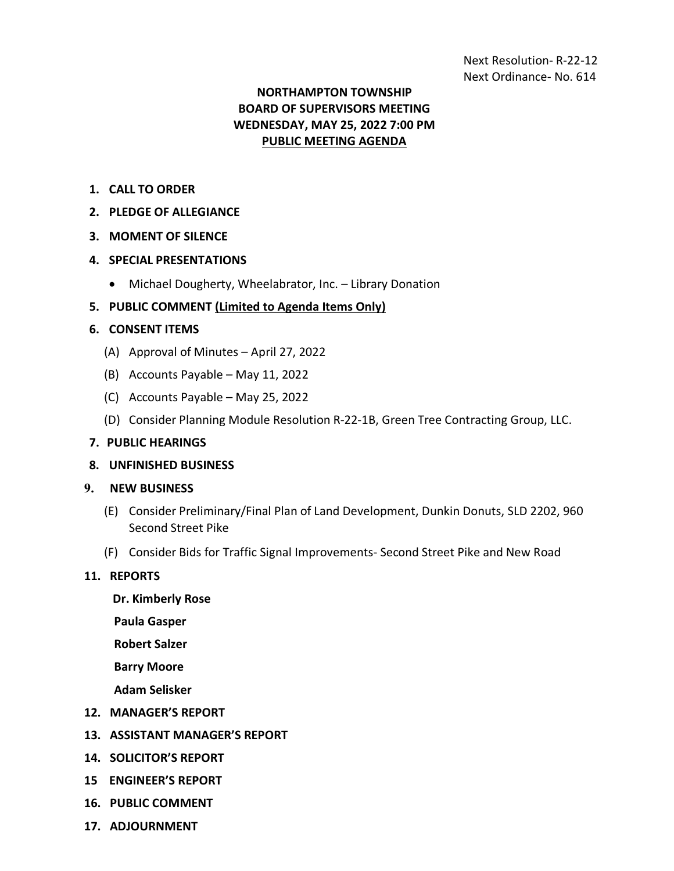# **NORTHAMPTON TOWNSHIP BOARD OF SUPERVISORS MEETING WEDNESDAY, MAY 25, 2022 7:00 PM PUBLIC MEETING AGENDA**

- **1. CALL TO ORDER**
- **2. PLEDGE OF ALLEGIANCE**
- **3. MOMENT OF SILENCE**
- **4. SPECIAL PRESENTATIONS**
	- Michael Dougherty, Wheelabrator, Inc. Library Donation

## **5. PUBLIC COMMENT (Limited to Agenda Items Only)**

#### **6. CONSENT ITEMS**

- (A) Approval of Minutes April 27, 2022
- (B) Accounts Payable May 11, 2022
- (C) Accounts Payable May 25, 2022
- (D) Consider Planning Module Resolution R-22-1B, Green Tree Contracting Group, LLC.

#### **7. PUBLIC HEARINGS**

**8. UNFINISHED BUSINESS**

## **9. NEW BUSINESS**

- (E) Consider Preliminary/Final Plan of Land Development, Dunkin Donuts, SLD 2202, 960 Second Street Pike
- (F) Consider Bids for Traffic Signal Improvements- Second Street Pike and New Road

#### **11. REPORTS**

 **Dr. Kimberly Rose**

**Paula Gasper**

**Robert Salzer**

**Barry Moore**

**Adam Selisker**

- **12. MANAGER'S REPORT**
- **13. ASSISTANT MANAGER'S REPORT**
- **14. SOLICITOR'S REPORT**
- **15 ENGINEER'S REPORT**
- **16. PUBLIC COMMENT**
- **17. ADJOURNMENT**